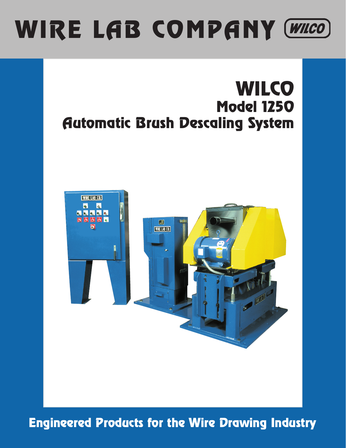# WIRE LAB COMPANY (WILCO)

## **WILCO** Model 1250 Automatic Brush Descaling System



Engineered Products for the Wire Drawing Industry